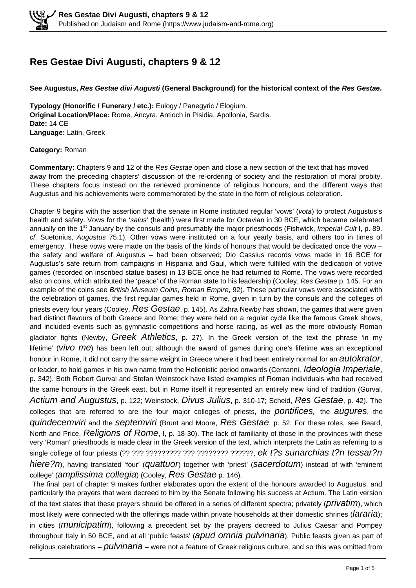## **Res Gestae Divi Augusti, chapters 9 & 12**

#### **See Augustus, Res Gestae divi Augusti (General Background) for the historical context of the Res Gestae.**

**Typology (Honorific / Funerary / etc.):** Eulogy / Panegyric / Elogium. **Original Location/Place:** Rome, Ancyra, Antioch in Pisidia, Apollonia, Sardis. **Date:** 14 CE **Language:** Latin, Greek

#### **Category:** Roman

**Commentary:** Chapters 9 and 12 of the Res Gestae open and close a new section of the text that has moved away from the preceding chapters' discussion of the re-ordering of society and the restoration of moral probity. These chapters focus instead on the renewed prominence of religious honours, and the different ways that Augustus and his achievements were commemorated by the state in the form of religious celebration.

Chapter 9 begins with the assertion that the senate in Rome instituted regular 'vows' (vota) to protect Augustus's health and safety. Vows for the 'salus' (health) were first made for Octavian in 30 BCE, which became celebrated annually on the 1<sup>st</sup> January by the consuls and presumably the major priesthoods (Fishwick, *Imperial Cult I*, p. 89. cf. Suetonius, Augustus 75.1). Other vows were instituted on a four yearly basis, and others too in times of emergency. These vows were made on the basis of the kinds of honours that would be dedicated once the vow – the safety and welfare of Augustus – had been observed; Dio Cassius records vows made in 16 BCE for Augustus's safe return from campaigns in Hispania and Gaul, which were fulfilled with the dedication of votive games (recorded on inscribed statue bases) in 13 BCE once he had returned to Rome. The vows were recorded also on coins, which attributed the 'peace' of the Roman state to his leadership (Cooley, Res Gestae p. 145. For an example of the coins see British Museum Coins, Roman Empire, 92). These particular vows were associated with the celebration of games, the first regular games held in Rome, given in turn by the consuls and the colleges of priests every four years (Cooley, Res Gestae, p. 145). As Zahra Newby has shown, the games that were given had distinct flavours of both Greece and Rome; they were held on a regular cycle like the famous Greek shows, and included events such as gymnastic competitions and horse racing, as well as the more obviously Roman gladiator fights (Newby, Greek Athletics, p. 27). In the Greek version of the text the phrase 'in my lifetime' (VIVO  $m$ e) has been left out; although the award of games during one's lifetime was an exceptional honour in Rome, it did not carry the same weight in Greece where it had been entirely normal for an *autokrator*, or leader, to hold games in his own name from the Hellenistic period onwards (Centanni, Ideologia Imperiale, p. 342). Both Robert Gurval and Stefan Weinstock have listed examples of Roman individuals who had received the same honours in the Greek east, but in Rome itself it represented an entirely new kind of tradition (Gurval, Actium and Augustus, p. 122; Weinstock, Divus Julius, p. 310-17; Scheid, Res Gestae, p. 42). The colleges that are referred to are the four major colleges of priests, the *pontifices*, the *augures*, the quindecemviri and the septemviri (Brunt and Moore, Res Gestae, p. 52. For these roles, see Beard, North and Price, Religions of Rome, I, p. 18-30). The lack of familiarity of those in the provinces with these very 'Roman' priesthoods is made clear in the Greek version of the text, which interprets the Latin as referring to a single college of four priests (?? ??? ????????? ??? ???????? ???????, ek t?s sunarchias t?n tessar?n hiere?n), having translated 'four' (quattuon together with 'priest' (Sacerdotum) instead of with 'eminent college' (amplissima collegia) (Cooley, Res Gestae p. 146).

 The final part of chapter 9 makes further elaborates upon the extent of the honours awarded to Augustus, and particularly the prayers that were decreed to him by the Senate following his success at Actium. The Latin version of the text states that these prayers should be offered in a series of different spectra; privately (*privatim*), which most likely were connected with the offerings made within private households at their domestic shrines (*lararia*); in cities (*municipatim*), following a precedent set by the prayers decreed to Julius Caesar and Pompey throughout Italy in 50 BCE, and at all 'public feasts' (apud omnia pulvinaria). Public feasts given as part of religious celebrations – *pulvinaria* – were not a feature of Greek religious culture, and so this was omitted from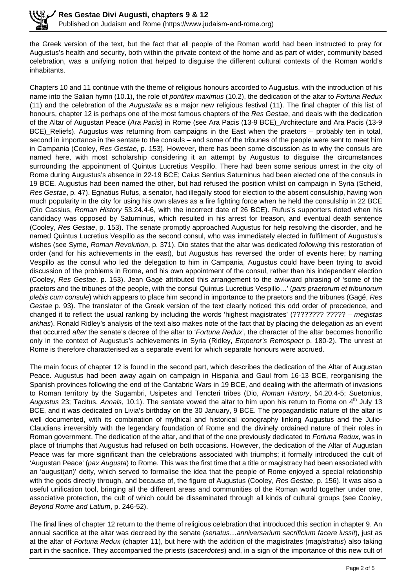the Greek version of the text, but the fact that all people of the Roman world had been instructed to pray for Augustus's health and security, both within the private context of the home and as part of wider, community based celebration, was a unifying notion that helped to disguise the different cultural contexts of the Roman world's inhabitants.

Chapters 10 and 11 continue with the theme of religious honours accorded to Augustus, with the introduction of his name into the Salian hymn (10.1), the role of *pontifex maximus* (10.2), the dedication of the altar to Fortuna Redux (11) and the celebration of the Augustalia as a major new religious festival (11). The final chapter of this list of honours, chapter 12 is perhaps one of the most famous chapters of the Res Gestae, and deals with the dedication of the Altar of Augustan Peace (Ara Pacis) in Rome (see Ara Pacis (13-9 BCE) Architecture and Ara Pacis (13-9 BCE) Reliefs). Augustus was returning from campaigns in the East when the praetors – probably ten in total, second in importance in the sentate to the consuls – and some of the tribunes of the people were sent to meet him in Campania (Cooley, Res Gestae, p. 153). However, there has been some discussion as to why the consuls are named here, with most scholarship considering it an attempt by Augustus to disguise the circumstances surrounding the appointment of Quintus Lucretius Vespillo. There had been some serious unrest in the city of Rome during Augustus's absence in 22-19 BCE; Caius Sentius Saturninus had been elected one of the consuls in 19 BCE. Augustus had been named the other, but had refused the position whilst on campaign in Syria (Scheid, Res Gestae, p. 47). Egnatius Rufus, a senator, had illegally stood for election to the absent consulship, having won much popularity in the city for using his own slaves as a fire fighting force when he held the consulship in 22 BCE (Dio Cassius, Roman History 53.24.4-6, with the incorrect date of 26 BCE). Rufus's supporters rioted when his candidacy was opposed by Saturninus, which resulted in his arrest for treason, and eventual death sentence (Cooley, Res Gestae, p. 153). The senate promptly approached Augustus for help resolving the disorder, and he named Quintus Lucretius Vespillo as the second consul, who was immediately elected in fulfilment of Augustus's wishes (see Syme, Roman Revolution, p. 371). Dio states that the altar was dedicated following this restoration of order (and for his achievements in the east), but Augustus has reversed the order of events here; by naming Vespillo as the consul who led the delegation to him in Campania, Augustus could have been trying to avoid discussion of the problems in Rome, and his own appointment of the consul, rather than his independent election (Cooley, Res Gestae, p. 153). Jean Gagé attributed this arrangement to the awkward phrasing of 'some of the praetors and the tribunes of the people, with the consul Quintus Lucretius Vespillo…' (pars praetorum et tribunorum plebis cum consule) which appears to place him second in importance to the praetors and the tribunes (Gagé, Res Gestae p. 93). The translator of the Greek version of the text clearly noticed this odd order of precedence, and changed it to reflect the usual ranking by including the words 'highest magistrates' (???????? ????? – megistas arkhas). Ronald Ridley's analysis of the text also makes note of the fact that by placing the delegation as an event that occurred after the senate's decree of the altar to 'Fortuna Redux', the character of the altar becomes honorific only in the context of Augustus's achievements in Syria (Ridley, Emperor's Retrospect p. 180-2). The unrest at Rome is therefore characterised as a separate event for which separate honours were accrued.

The main focus of chapter 12 is found in the second part, which describes the dedication of the Altar of Augustan Peace. Augustus had been away again on campaign in Hispania and Gaul from 16-13 BCE, reorganising the Spanish provinces following the end of the Cantabric Wars in 19 BCE, and dealing with the aftermath of invasions to Roman territory by the Sugambri, Usipetes and Tencteri tribes (Dio, Roman History, 54.20.4-5; Suetonius, Augustus 23; Tacitus, Annals, 10.1). The sentate vowed the altar to him upon his return to Rome on  $4<sup>th</sup>$  July 13 BCE, and it was dedicated on Livia's birthday on the 30 January, 9 BCE. The propagandistic nature of the altar is well documented, with its combination of mythical and historical iconography linking Augustus and the Julio-Claudians irreversibly with the legendary foundation of Rome and the divinely ordained nature of their roles in Roman government. The dedication of the altar, and that of the one previously dedicated to Fortuna Redux, was in place of triumphs that Augustus had refused on both occasions. However, the dedication of the Altar of Augustan Peace was far more significant than the celebrations associated with triumphs; it formally introduced the cult of 'Augustan Peace' (pax Augusta) to Rome. This was the first time that a title or magistracy had been associated with an 'august(an)' deity, which served to formalise the idea that the people of Rome enjoyed a special relationship with the gods directly through, and because of, the figure of Augustus (Cooley, Res Gestae, p. 156). It was also a useful unification tool, bringing all the different areas and communities of the Roman world together under one, associative protection, the cult of which could be disseminated through all kinds of cultural groups (see Cooley, Beyond Rome and Latium, p. 246-52).

The final lines of chapter 12 return to the theme of religious celebration that introduced this section in chapter 9. An annual sacrifice at the altar was decreed by the senate (senatus...anniversarium sacrificium facere iussit), just as at the altar of Fortuna Redux (chapter 11), but here with the addition of the magistrates (magistratus) also taking part in the sacrifice. They accompanied the priests (sacerdotes) and, in a sign of the importance of this new cult of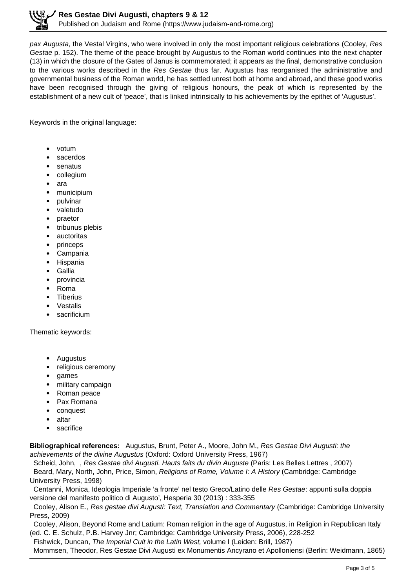pax Augusta, the Vestal Virgins, who were involved in only the most important religious celebrations (Cooley, Res Gestae p. 152). The theme of the peace brought by Augustus to the Roman world continues into the next chapter (13) in which the closure of the Gates of Janus is commemorated; it appears as the final, demonstrative conclusion to the various works described in the Res Gestae thus far. Augustus has reorganised the administrative and governmental business of the Roman world, he has settled unrest both at home and abroad, and these good works have been recognised through the giving of religious honours, the peak of which is represented by the establishment of a new cult of 'peace', that is linked intrinsically to his achievements by the epithet of 'Augustus'.

Keywords in the original language:

- votum
- sacerdos
- senatus
- collegium
- ara
- municipium
- pulvinar
- valetudo
- praetor
- tribunus plebis
- auctoritas
- princeps
- Campania
- Hispania
- **Gallia**
- provincia
- Roma
- **Tiberius**
- Vestalis
- sacrificium

Thematic keywords:

- Augustus
- religious ceremony
- games
- military campaign
- Roman peace
- Pax Romana
- conquest
- altar
- sacrifice  $\bullet$

**Bibliographical references:** Augustus, Brunt, Peter A., Moore, John M., Res Gestae Divi Augusti: the achievements of the divine Augustus (Oxford: Oxford University Press, 1967)

 Scheid, John, , Res Gestae divi Augusti. Hauts faits du divin Auguste (Paris: Les Belles Lettres , 2007) Beard, Mary, North, John, Price, Simon, Religions of Rome, Volume I: A History (Cambridge: Cambridge University Press, 1998)

 Centanni, Monica, Ideologia Imperiale 'a fronte' nel testo Greco/Latino delle Res Gestae: appunti sulla doppia versione del manifesto politico di Augusto', Hesperia 30 (2013) : 333-355

 Cooley, Alison E., Res gestae divi Augusti: Text, Translation and Commentary (Cambridge: Cambridge University Press, 2009)

 Cooley, Alison, Beyond Rome and Latium: Roman religion in the age of Augustus, in Religion in Republican Italy (ed. C. E. Schulz, P.B. Harvey Jnr; Cambridge: Cambridge University Press, 2006), 228-252

Fishwick, Duncan, The Imperial Cult in the Latin West, volume I (Leiden: Brill, 1987)

Mommsen, Theodor, Res Gestae Divi Augusti ex Monumentis Ancyrano et Apolloniensi (Berlin: Weidmann, 1865)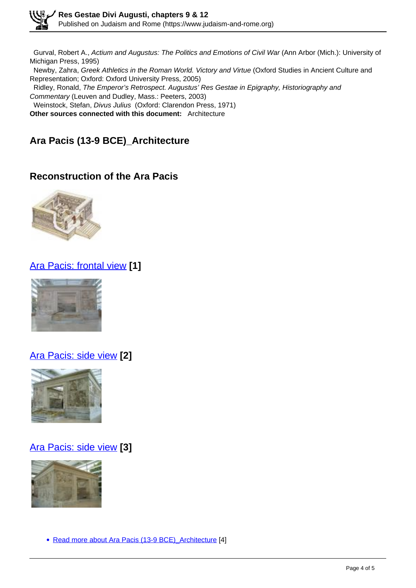Gurval, Robert A., Actium and Augustus: The Politics and Emotions of Civil War (Ann Arbor (Mich.): University of Michigan Press, 1995)

 Newby, Zahra, Greek Athletics in the Roman World. Victory and Virtue (Oxford Studies in Ancient Culture and Representation; Oxford: Oxford University Press, 2005)

 Ridley, Ronald, The Emperor's Retrospect. Augustus' Res Gestae in Epigraphy, Historiography and Commentary (Leuven and Dudley, Mass.: Peeters, 2003)

Weinstock, Stefan, Divus Julius (Oxford: Clarendon Press, 1971)

**Other sources connected with this document:** Architecture

# **Ara Pacis (13-9 BCE)\_Architecture**

## **Reconstruction of the Ara Pacis**



## [Ara Pacis: frontal view](https://www.judaism-and-rome.org/file/ara-pacis-frontal-view) **[1]**



# Ara Pacis: side view **[2]**



## Ara Pacis: side view **[3]**



• Read more about Ara Pacis (13-9 BCE) Architecture [4]